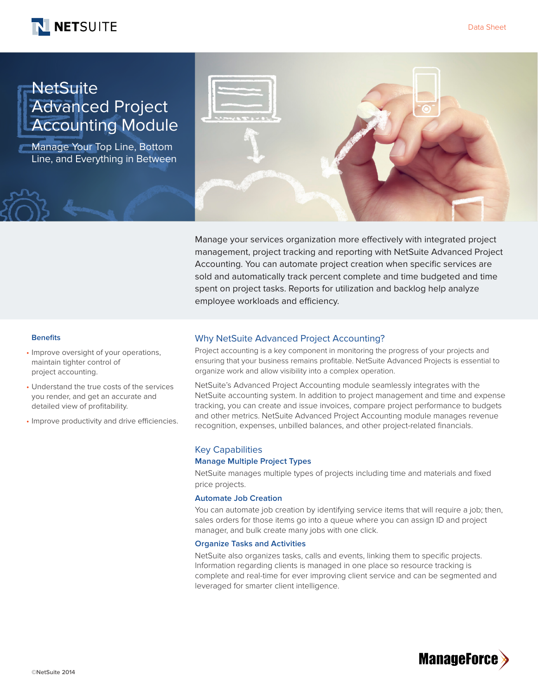



# **NetSuite** Advanced Project Accounting Module

Manage Your Top Line, Bottom Line, and Everything in Between



Manage your services organization more effectively with integrated project management, project tracking and reporting with NetSuite Advanced Project Accounting. You can automate project creation when specific services are sold and automatically track percent complete and time budgeted and time spent on project tasks. Reports for utilization and backlog help analyze employee workloads and efficiency.

#### **Benefits**

- Improve oversight of your operations, maintain tighter control of project accounting.
- Understand the true costs of the services you render, and get an accurate and detailed view of profitability.
- Improve productivity and drive efficiencies.

# Why NetSuite Advanced Project Accounting?

Project accounting is a key component in monitoring the progress of your projects and ensuring that your business remains profitable. NetSuite Advanced Projects is essential to organize work and allow visibility into a complex operation.

NetSuite's Advanced Project Accounting module seamlessly integrates with the NetSuite accounting system. In addition to project management and time and expense tracking, you can create and issue invoices, compare project performance to budgets and other metrics. NetSuite Advanced Project Accounting module manages revenue recognition, expenses, unbilled balances, and other project-related financials.

# Key Capabilities

#### **Manage Multiple Project Types**

NetSuite manages multiple types of projects including time and materials and fixed price projects.

## **Automate Job Creation**

You can automate job creation by identifying service items that will require a job; then, sales orders for those items go into a queue where you can assign ID and project manager, and bulk create many jobs with one click.

## **Organize Tasks and Activities**

NetSuite also organizes tasks, calls and events, linking them to specific projects. Information regarding clients is managed in one place so resource tracking is complete and real-time for ever improving client service and can be segmented and leveraged for smarter client intelligence.

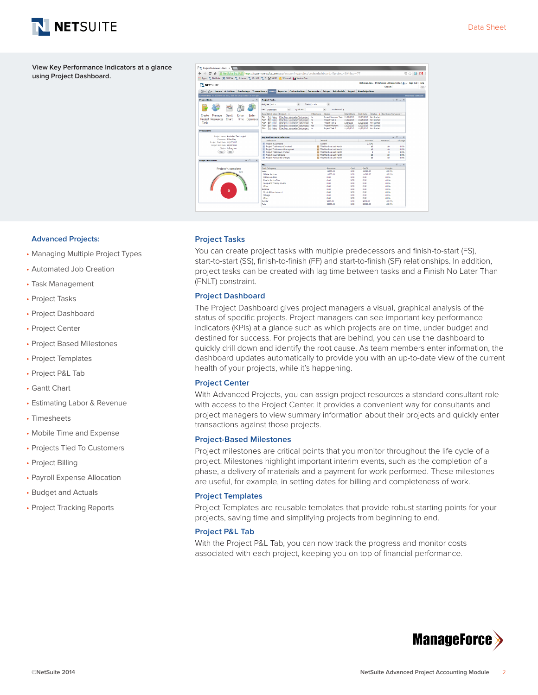

**View Key Performance Indicators at a glance using Project Dashboard.**



#### **Advanced Projects:**

- Managing Multiple Project Types
- Automated Job Creation
- Task Management
- Project Tasks
- Project Dashboard
- Project Center
- Project Based Milestones
- Project Templates
- Project P&L Tab
- Gantt Chart
- Estimating Labor & Revenue
- Timesheets
- Mobile Time and Expense
- Projects Tied To Customers
- Project Billing
- Payroll Expense Allocation
- Budget and Actuals
- Project Tracking Reports

#### **Project Tasks**

You can create project tasks with multiple predecessors and finish-to-start (FS), start-to-start (SS), finish-to-finish (FF) and start-to-finish (SF) relationships. In addition, project tasks can be created with lag time between tasks and a Finish No Later Than (FNLT) constraint.

#### **Project Dashboard**

The Project Dashboard gives project managers a visual, graphical analysis of the status of specific projects. Project managers can see important key performance indicators (KPIs) at a glance such as which projects are on time, under budget and destined for success. For projects that are behind, you can use the dashboard to quickly drill down and identify the root cause. As team members enter information, the dashboard updates automatically to provide you with an up-to-date view of the current health of your projects, while it's happening.

## **Project Center**

With Advanced Projects, you can assign project resources a standard consultant role with access to the Project Center. It provides a convenient way for consultants and project managers to view summary information about their projects and quickly enter transactions against those projects.

## **Project-Based Milestones**

Project milestones are critical points that you monitor throughout the life cycle of a project. Milestones highlight important interim events, such as the completion of a phase, a delivery of materials and a payment for work performed. These milestones are useful, for example, in setting dates for billing and completeness of work.

## **Project Templates**

Project Templates are reusable templates that provide robust starting points for your projects, saving time and simplifying projects from beginning to end.

# **Project P&L Tab**

With the Project P&L Tab, you can now track the progress and monitor costs associated with each project, keeping you on top of financial performance.

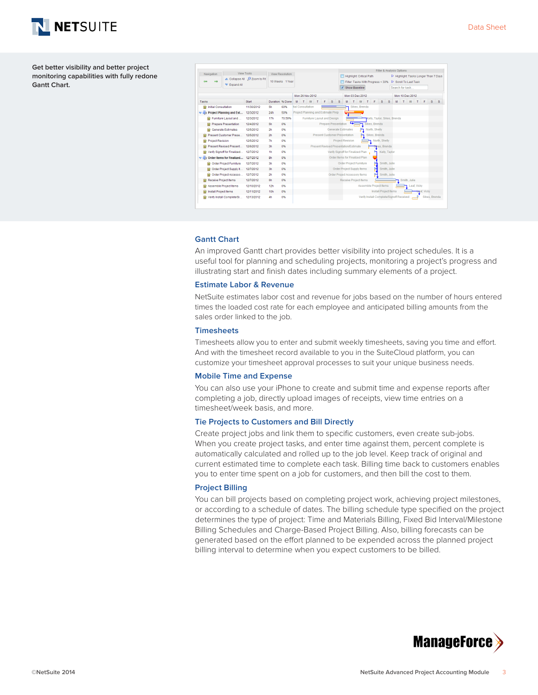

**Get better visibility and better project monitoring capabilities with fully redone Gantt Chart.**



#### **Gantt Chart**

An improved Gantt chart provides better visibility into project schedules. It is a useful tool for planning and scheduling projects, monitoring a project's progress and illustrating start and finish dates including summary elements of a project.

## **Estimate Labor & Revenue**

NetSuite estimates labor cost and revenue for jobs based on the number of hours entered times the loaded cost rate for each employee and anticipated billing amounts from the sales order linked to the job.

#### **Timesheets**

Timesheets allow you to enter and submit weekly timesheets, saving you time and effort. And with the timesheet record available to you in the SuiteCloud platform, you can customize your timesheet approval processes to suit your unique business needs.

## **Mobile Time and Expense**

You can also use your iPhone to create and submit time and expense reports after completing a job, directly upload images of receipts, view time entries on a timesheet/week basis, and more.

## **Tie Projects to Customers and Bill Directly**

Create project jobs and link them to specific customers, even create sub-jobs. When you create project tasks, and enter time against them, percent complete is automatically calculated and rolled up to the job level. Keep track of original and current estimated time to complete each task. Billing time back to customers enables you to enter time spent on a job for customers, and then bill the cost to them.

## **Project Billing**

You can bill projects based on completing project work, achieving project milestones, or according to a schedule of dates. The billing schedule type specified on the project determines the type of project: Time and Materials Billing, Fixed Bid Interval/Milestone Billing Schedules and Charge-Based Project Billing. Also, billing forecasts can be generated based on the effort planned to be expended across the planned project billing interval to determine when you expect customers to be billed.